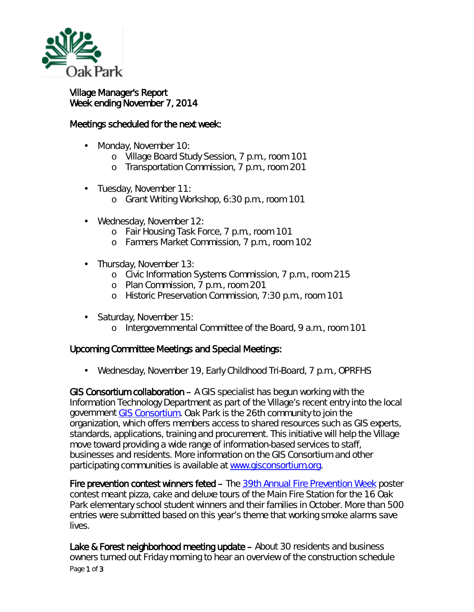

## Village Manager's Report Week ending November 7, 2014

## Meetings scheduled for the next week:

- Monday, November 10:
	- o Village Board Study Session, 7 p.m., room 101
	- o Transportation Commission, 7 p.m., room 201
- Tuesday, November 11: a.
	- o Grant Writing Workshop, 6:30 p.m., room 101
- Wednesday, November 12:
	- o Fair Housing Task Force, 7 p.m., room 101
	- o Farmers Market Commission, 7 p.m., room 102
- Thursday, November 13:
	- o Civic Information Systems Commission, 7 p.m., room 215
	- o Plan Commission, 7 p.m., room 201
	- o Historic Preservation Commission, 7:30 p.m., room 101
- Saturday, November 15:
	- o Intergovernmental Committee of the Board, 9 a.m., room 101

## Upcoming Committee Meetings and Special Meetings:

Wednesday, November 19, Early Childhood Tri-Board, 7 p.m., OPRFHS

GIS Consortium collaboration  $-$  A GIS specialist has begun working with the Information Technology Department as part of the Village's recent entry into the local government [GIS Consortium.](http://www.gisconsortium.org/public/) Oak Park is the 26th community to join the organization, which offers members access to shared resources such as GIS experts, standards, applications, training and procurement. This initiative will help the Village move toward providing a wide range of information-based services to staff, businesses and residents. More information on the GIS Consortium and other participating communities is available at [www.gisconsortium.org.](http://www.gisconsortium.org/)

Fire prevention contest winners feted – The [39th Annual Fire Prevention Week](http://www.nfpa.org/safety-information/fire-prevention-week/about-fire-prevention-week) poster contest meant pizza, cake and deluxe tours of the Main Fire Station for the 16 Oak Park elementary school student winners and their families in October. More than 500 entries were submitted based on this year's theme that working smoke alarms save lives.

Page 1 of 3 Lake & Forest neighborhood meeting update – About 30 residents and business owners turned out Friday morning to hear an overview of the construction schedule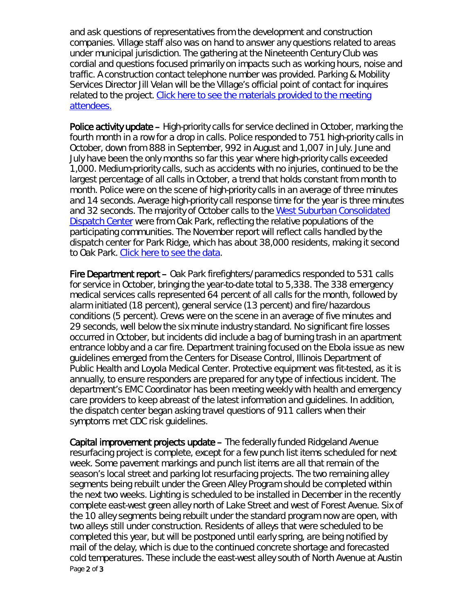and ask questions of representatives from the development and construction companies. Village staff also was on hand to answer any questions related to areas under municipal jurisdiction. The gathering at the Nineteenth Century Club was cordial and questions focused primarily on impacts such as working hours, noise and traffic. A construction contact telephone number was provided. Parking & Mobility Services Director Jill Velan will be the Village's official point of contact for inquires related to the project. [Click here to see the materials provided to the meeting](http://www.oak-park.us/sites/default/files/456678891/2014-11-07-lake%2Bforest-neighborhood-meeting-handouts.pdf)  [attendees.](http://www.oak-park.us/sites/default/files/456678891/2014-11-07-lake%2Bforest-neighborhood-meeting-handouts.pdf)

Police activity update – High-priority calls for service declined in October, marking the fourth month in a row for a drop in calls. Police responded to 751 high-priority calls in October, down from 888 in September, 992 in August and 1,007 in July. June and July have been the only months so far this year where high-priority calls exceeded 1,000. Medium-priority calls, such as accidents with no injuries, continued to be the largest percentage of all calls in October, a trend that holds constant from month to month. Police were on the scene of high-priority calls in an average of three minutes and 14 seconds. Average high-priority call response time for the year is three minutes and 32 seconds. The majority of October calls to the West Suburban Consolidated [Dispatch Center](http://www.wscdc.org/) were from Oak Park, reflecting the relative populations of the participating communities. The November report will reflect calls handled by the dispatch center for Park Ridge, which has about 38,000 residents, making it second to Oak Park. [Click here to see the data.](http://www.oak-park.us/sites/default/files/456678891/2014-10-police-call-data.pdf)

Fire Department report – Oak Park firefighters/paramedics responded to 531 calls for service in October, bringing the year-to-date total to 5,338. The 338 emergency medical services calls represented 64 percent of all calls for the month, followed by alarm initiated (18 percent), general service (13 percent) and fire/hazardous conditions (5 percent). Crews were on the scene in an average of five minutes and 29 seconds, well below the six minute industry standard. No significant fire losses occurred in October, but incidents did include a bag of burning trash in an apartment entrance lobby and a car fire. Department training focused on the Ebola issue as new guidelines emerged from the Centers for Disease Control, Illinois Department of Public Health and Loyola Medical Center. Protective equipment was fit-tested, as it is annually, to ensure responders are prepared for any type of infectious incident. The department's EMC Coordinator has been meeting weekly with health and emergency care providers to keep abreast of the latest information and guidelines. In addition, the dispatch center began asking travel questions of 911 callers when their symptoms met CDC risk guidelines.

Page 2 of 3 Capital improvement projects update – The federally funded Ridgeland Avenue resurfacing project is complete, except for a few punch list items scheduled for next week. Some pavement markings and punch list items are all that remain of the season's local street and parking lot resurfacing projects. The two remaining alley segments being rebuilt under the Green Alley Program should be completed within the next two weeks. Lighting is scheduled to be installed in December in the recently complete east-west green alley north of Lake Street and west of Forest Avenue. Six of the 10 alley segments being rebuilt under the standard program now are open, with two alleys still under construction. Residents of alleys that were scheduled to be completed this year, but will be postponed until early spring, are being notified by mail of the delay, which is due to the continued concrete shortage and forecasted cold temperatures. These include the east-west alley south of North Avenue at Austin